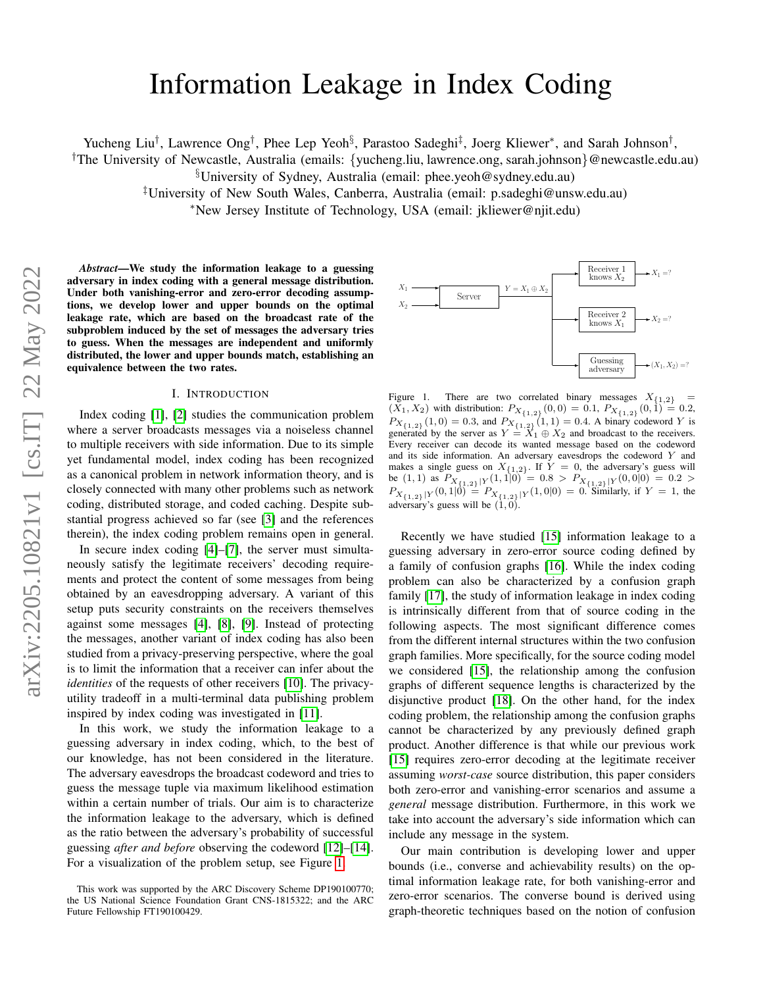# Information Leakage in Index Coding

Yucheng Liu<sup>†</sup>, Lawrence Ong<sup>†</sup>, Phee Lep Yeoh<sup>§</sup>, Parastoo Sadeghi<sup>‡</sup>, Joerg Kliewer<sup>∗</sup>, and Sarah Johnson<sup>†</sup>,

†The University of Newcastle, Australia (emails: {yucheng.liu, lawrence.ong, sarah.johnson}@newcastle.edu.au)

§University of Sydney, Australia (email: phee.yeoh@sydney.edu.au)

‡University of New South Wales, Canberra, Australia (email: p.sadeghi@unsw.edu.au)

<sup>∗</sup>New Jersey Institute of Technology, USA (email: jkliewer@njit.edu)

*Abstract*—We study the information leakage to a guessing adversary in index coding with a general message distribution. Under both vanishing-error and zero-error decoding assumptions, we develop lower and upper bounds on the optimal leakage rate, which are based on the broadcast rate of the subproblem induced by the set of messages the adversary tries to guess. When the messages are independent and uniformly distributed, the lower and upper bounds match, establishing an equivalence between the two rates.

#### I. INTRODUCTION

Index coding [\[1\]](#page-5-0), [\[2\]](#page-5-1) studies the communication problem where a server broadcasts messages via a noiseless channel to multiple receivers with side information. Due to its simple yet fundamental model, index coding has been recognized as a canonical problem in network information theory, and is closely connected with many other problems such as network coding, distributed storage, and coded caching. Despite substantial progress achieved so far (see [\[3\]](#page-5-2) and the references therein), the index coding problem remains open in general.

In secure index coding [\[4\]](#page-5-3)–[\[7\]](#page-5-4), the server must simultaneously satisfy the legitimate receivers' decoding requirements and protect the content of some messages from being obtained by an eavesdropping adversary. A variant of this setup puts security constraints on the receivers themselves against some messages [\[4\]](#page-5-3), [\[8\]](#page-5-5), [\[9\]](#page-5-6). Instead of protecting the messages, another variant of index coding has also been studied from a privacy-preserving perspective, where the goal is to limit the information that a receiver can infer about the *identities* of the requests of other receivers [\[10\]](#page-5-7). The privacyutility tradeoff in a multi-terminal data publishing problem inspired by index coding was investigated in [\[11\]](#page-5-8).

In this work, we study the information leakage to a guessing adversary in index coding, which, to the best of our knowledge, has not been considered in the literature. The adversary eavesdrops the broadcast codeword and tries to guess the message tuple via maximum likelihood estimation within a certain number of trials. Our aim is to characterize the information leakage to the adversary, which is defined as the ratio between the adversary's probability of successful guessing *after and before* observing the codeword [\[12\]](#page-5-9)–[\[14\]](#page-5-10). For a visualization of the problem setup, see Figure [1.](#page-0-0)



<span id="page-0-0"></span>Figure 1. There are two correlated binary messages  $X_{\{1,2\}}$  $(X_1, X_2)$  with distribution:  $P_{X_{\{1,2\}}}(0,0) = 0.1, P_{X_{\{1,2\}}}(0,1) = 0.2$ ,  $P_{X_{\{1,2\}}}(1,0) = 0.3$ , and  $P_{X_{\{1,2\}}}(1,1) = 0.4$ . A binary codeword Y is generated by the server as  $Y = X_1 \oplus X_2$  and broadcast to the receivers. Every receiver can decode its wanted message based on the codeword and its side information. An adversary eavesdrops the codeword Y and makes a single guess on  $X_{\{1,2\}}$ . If  $Y = 0$ , the adversary's guess will be (1, 1) as  $P_{X_{\{1,2\}}|Y}(1,1|0) = 0.8 > P_{X_{\{1,2\}}|Y}(0,0|0) = 0.2 >$  $P_{X_{\{1,2\}}|Y}(0,1|0) = P_{X_{\{1,2\}}|Y}(1,0|0) = 0$ . Similarly, if  $Y = 1$ , the adversary's guess will be  $(1, 0)$ .

Recently we have studied [\[15\]](#page-5-11) information leakage to a guessing adversary in zero-error source coding defined by a family of confusion graphs [\[16\]](#page-5-12). While the index coding problem can also be characterized by a confusion graph family [\[17\]](#page-5-13), the study of information leakage in index coding is intrinsically different from that of source coding in the following aspects. The most significant difference comes from the different internal structures within the two confusion graph families. More specifically, for the source coding model we considered [\[15\]](#page-5-11), the relationship among the confusion graphs of different sequence lengths is characterized by the disjunctive product [\[18\]](#page-5-14). On the other hand, for the index coding problem, the relationship among the confusion graphs cannot be characterized by any previously defined graph product. Another difference is that while our previous work [\[15\]](#page-5-11) requires zero-error decoding at the legitimate receiver assuming *worst-case* source distribution, this paper considers both zero-error and vanishing-error scenarios and assume a *general* message distribution. Furthermore, in this work we take into account the adversary's side information which can include any message in the system.

Our main contribution is developing lower and upper bounds (i.e., converse and achievability results) on the optimal information leakage rate, for both vanishing-error and zero-error scenarios. The converse bound is derived using graph-theoretic techniques based on the notion of confusion

This work was supported by the ARC Discovery Scheme DP190100770; the US National Science Foundation Grant CNS-1815322; and the ARC Future Fellowship FT190100429.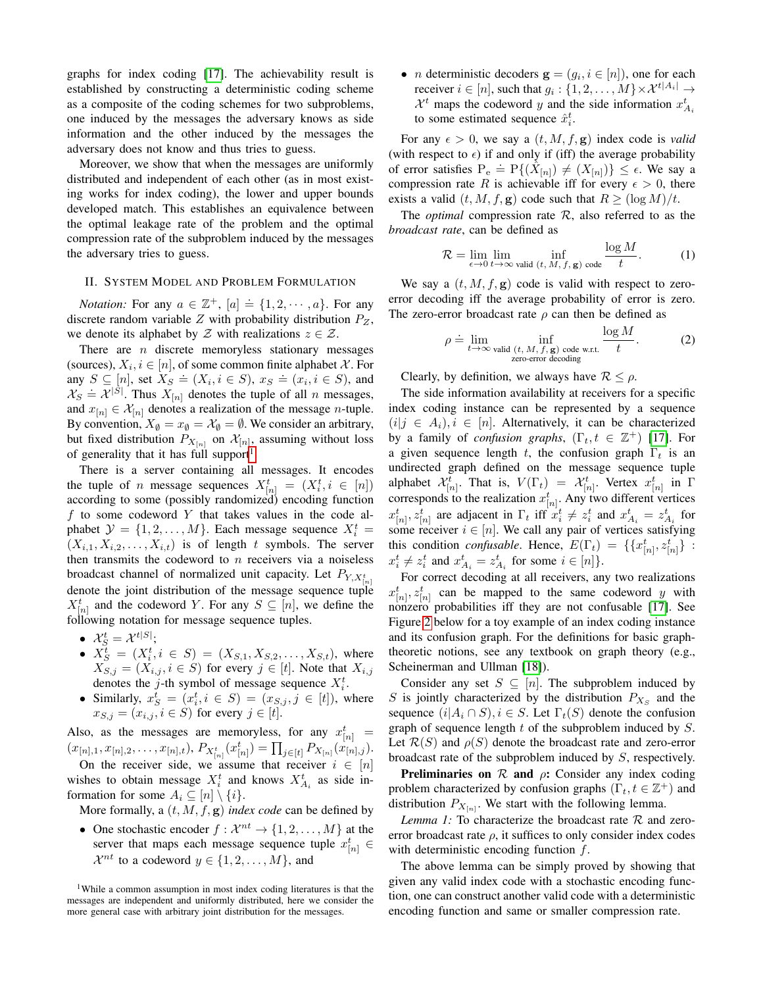graphs for index coding [\[17\]](#page-5-13). The achievability result is established by constructing a deterministic coding scheme as a composite of the coding schemes for two subproblems, one induced by the messages the adversary knows as side information and the other induced by the messages the adversary does not know and thus tries to guess.

Moreover, we show that when the messages are uniformly distributed and independent of each other (as in most existing works for index coding), the lower and upper bounds developed match. This establishes an equivalence between the optimal leakage rate of the problem and the optimal compression rate of the subproblem induced by the messages the adversary tries to guess.

### II. SYSTEM MODEL AND PROBLEM FORMULATION

*Notation:* For any  $a \in \mathbb{Z}^+$ ,  $[a] \doteq \{1, 2, \dots, a\}$ . For any discrete random variable  $Z$  with probability distribution  $P_Z$ , we denote its alphabet by  $\mathcal Z$  with realizations  $z \in \mathcal Z$ .

There are  $n$  discrete memoryless stationary messages (sources),  $X_i, i \in [n]$ , of some common finite alphabet X. For any  $S \subseteq [n]$ , set  $X_S = (X_i, i \in S)$ ,  $x_S = (x_i, i \in S)$ , and  $\mathcal{X}_S \doteq \mathcal{X}^{|S|}$ . Thus  $X_{[n]}$  denotes the tuple of all n messages, and  $x_{[n]} \in \mathcal{X}_{[n]}$  denotes a realization of the message *n*-tuple. By convention,  $X_{\emptyset} = x_{\emptyset} = \mathcal{X}_{\emptyset} = \emptyset$ . We consider an arbitrary, but fixed distribution  $P_{X_{[n]}}$  on  $\mathcal{X}_{[n]}$ , assuming without loss of generality that it has full support<sup>[1](#page-1-0)</sup>.

There is a server containing all messages. It encodes the tuple of *n* message sequences  $X_{[n]}^t = (X_i^t, i \in [n])$ according to some (possibly randomized) encoding function  $f$  to some codeword  $Y$  that takes values in the code alphabet  $\mathcal{Y} = \{1, 2, ..., M\}$ . Each message sequence  $X_i^t$  =  $(X_{i,1}, X_{i,2}, \ldots, X_{i,t})$  is of length t symbols. The server then transmits the codeword to  $n$  receivers via a noiseless broadcast channel of normalized unit capacity. Let  $P_{Y,X_t^t}$ denote the joint distribution of the message sequence tuple  $X_{[n]}^t$  and the codeword Y. For any  $S \subseteq [n]$ , we define the following notation for message sequence tuples.

- $\mathcal{X}_{S}^{t} = \mathcal{X}^{t|S|};$
- $X_S^t = (X_i^t, i \in S) = (X_{S,1}, X_{S,2}, \ldots, X_{S,t}),$  where  $X_{S,j} = (X_{i,j}, i \in S)$  for every  $j \in [t]$ . Note that  $X_{i,j}$ denotes the j-th symbol of message sequence  $X_i^t$ .
- Similarly,  $x_S^t = (x_i^t, i \in S) = (x_{S,j}, j \in [t])$ , where  $x_{S,j} = (x_{i,j}, i \in S)$  for every  $j \in [t]$ .

Also, as the messages are memoryless, for any  $x_{[n]}^t =$  $(x_{[n],1}, x_{[n],2}, \ldots, x_{[n],t}), P_{X_{[n]}^t}(x_{[n]}^t) = \prod_{j \in [t]} P_{X_{[n]}}(x_{[n],j}^t).$ On the receiver side, we assume that receiver  $i \in [n]$ wishes to obtain message  $X_i^t$  and knows  $X_{A_i}^t$  as side information for some  $A_i \subseteq [n] \setminus \{i\}.$ 

More formally, a  $(t, M, f, g)$  *index code* can be defined by

• One stochastic encoder  $f: \mathcal{X}^{nt} \to \{1, 2, ..., M\}$  at the server that maps each message sequence tuple  $x_{[n]}^t \in$  $\mathcal{X}^{nt}$  to a codeword  $y \in \{1, 2, ..., M\}$ , and

• *n* deterministic decoders  $\mathbf{g} = (g_i, i \in [n])$ , one for each receiver  $i \in [n]$ , such that  $g_i: \{1, 2, ..., M\} \times \mathcal{X}^{t|A_i|} \rightarrow$  $\mathcal{X}^t$  maps the codeword y and the side information  $x_{A_i}^t$ to some estimated sequence  $\hat{x}_i^t$ .

For any  $\epsilon > 0$ , we say a  $(t, M, f, g)$  index code is *valid* (with respect to  $\epsilon$ ) if and only if (iff) the average probability of error satisfies  $P_e = P\{(X_{[n]}) \neq (X_{[n]})\} \leq \epsilon$ . We say a compression rate R is achievable iff for every  $\epsilon > 0$ , there exists a valid  $(t, M, f, g)$  code such that  $R \geq (\log M)/t$ .

The *optimal* compression rate R, also referred to as the *broadcast rate*, can be defined as

$$
\mathcal{R} = \lim_{\epsilon \to 0} \lim_{t \to \infty} \inf_{\text{valid } (t, M, f, \mathbf{g}) \text{ code}} \frac{\log M}{t}.
$$
 (1)

We say a  $(t, M, f, g)$  code is valid with respect to zeroerror decoding iff the average probability of error is zero. The zero-error broadcast rate  $\rho$  can then be defined as

$$
\rho \doteq \lim_{t \to \infty} \inf_{\text{valid } (t, M, f, \mathbf{g}) \text{ code w.r.t.}} \frac{\log M}{t}.
$$
 (2)

Clearly, by definition, we always have  $\mathcal{R} \leq \rho$ .

The side information availability at receivers for a specific index coding instance can be represented by a sequence  $(i|j \in A_i), i \in [n]$ . Alternatively, it can be characterized by a family of *confusion graphs*,  $(\Gamma_t, t \in \mathbb{Z}^+)$  [\[17\]](#page-5-13). For a given sequence length t, the confusion graph  $\Gamma_t$  is an undirected graph defined on the message sequence tuple alphabet  $\mathcal{X}_{[n]}^t$ . That is,  $V(\Gamma_t) = \mathcal{X}_{[n]}^t$ . Vertex  $x_{[n]}^t$  in  $\Gamma$ corresponds to the realization  $x_{[n]}^t$ . Any two different vertices  $x_{[n]}^t$ ,  $z_{[n]}^t$  are adjacent in  $\Gamma_t$  iff  $x_i^t \neq z_i^t$  and  $x_{A_i}^t = z_{A_i}^t$  for some receiver  $i \in [n]$ . We call any pair of vertices satisfying this condition *confusable*. Hence,  $E(\Gamma_t) = \{ \{ x_{[n]}^t, z_{[n]}^t \}$ :  $x_i^t \neq z_i^t$  and  $x_{A_i}^t = z_{A_i}^t$  for some  $i \in [n]$ .

For correct decoding at all receivers, any two realizations  $x_{[n]}^{t}$ ,  $z_{[n]}^{t}$  can be mapped to the same codeword y with nonzero probabilities iff they are not confusable [\[17\]](#page-5-13). See Figure [2](#page-2-0) below for a toy example of an index coding instance and its confusion graph. For the definitions for basic graphtheoretic notions, see any textbook on graph theory (e.g., Scheinerman and Ullman [\[18\]](#page-5-14)).

Consider any set  $S \subseteq [n]$ . The subproblem induced by S is jointly characterized by the distribution  $P_{X_S}$  and the sequence  $(i|A_i \cap S), i \in S$ . Let  $\Gamma_t(S)$  denote the confusion graph of sequence length  $t$  of the subproblem induced by  $S$ . Let  $\mathcal{R}(S)$  and  $\rho(S)$  denote the broadcast rate and zero-error broadcast rate of the subproblem induced by S, respectively.

<span id="page-1-1"></span>**Preliminaries on**  $\mathcal{R}$  and  $\rho$ : Consider any index coding problem characterized by confusion graphs  $(\Gamma_t, t \in \mathbb{Z}^+)$  and distribution  $P_{X[n]}$ . We start with the following lemma.

*Lemma 1:* To characterize the broadcast rate  $\mathcal{R}$  and zeroerror broadcast rate  $\rho$ , it suffices to only consider index codes with deterministic encoding function  $f$ .

The above lemma can be simply proved by showing that given any valid index code with a stochastic encoding function, one can construct another valid code with a deterministic encoding function and same or smaller compression rate.

<span id="page-1-0"></span><sup>1</sup>While a common assumption in most index coding literatures is that the messages are independent and uniformly distributed, here we consider the more general case with arbitrary joint distribution for the messages.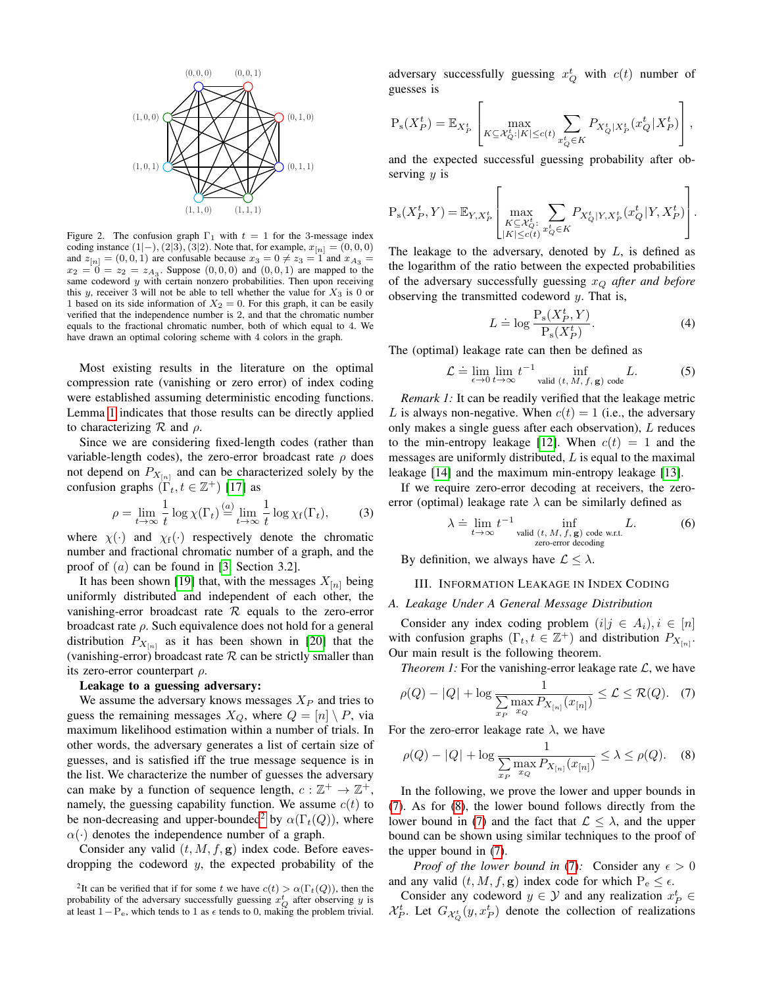

<span id="page-2-0"></span>Figure 2. The confusion graph  $\Gamma_1$  with  $t = 1$  for the 3-message index coding instance  $(1|-), (2|3), (3|2)$ . Note that, for example,  $x_{[n]} = (0, 0, 0)$ and  $z_{[n]} = (0, 0, 1)$  are confusable because  $x_3 = 0 \neq z_3 = 1$  and  $x_{A_3} =$  $x_2 = 0 = z_2 = z_{A_3}$ . Suppose  $(0, 0, 0)$  and  $(0, 0, 1)$  are mapped to the same codeword  $y$  with certain nonzero probabilities. Then upon receiving this y, receiver 3 will not be able to tell whether the value for  $X_3$  is 0 or 1 based on its side information of  $X_2 = 0$ . For this graph, it can be easily verified that the independence number is 2, and that the chromatic number equals to the fractional chromatic number, both of which equal to 4. We have drawn an optimal coloring scheme with 4 colors in the graph.

Most existing results in the literature on the optimal compression rate (vanishing or zero error) of index coding were established assuming deterministic encoding functions. Lemma [1](#page-1-1) indicates that those results can be directly applied to characterizing  $\mathcal R$  and  $\rho$ .

Since we are considering fixed-length codes (rather than variable-length codes), the zero-error broadcast rate  $\rho$  does not depend on  $P_{X_{[n]}}$  and can be characterized solely by the confusion graphs  $(\Gamma_t, t \in \mathbb{Z}^+)$  [\[17\]](#page-5-13) as

$$
\rho = \lim_{t \to \infty} \frac{1}{t} \log \chi(\Gamma_t) \stackrel{(a)}{=} \lim_{t \to \infty} \frac{1}{t} \log \chi_f(\Gamma_t),\tag{3}
$$

where  $\chi(\cdot)$  and  $\chi_f(\cdot)$  respectively denote the chromatic number and fractional chromatic number of a graph, and the proof of (a) can be found in [\[3,](#page-5-2) Section 3.2].

It has been shown [\[19\]](#page-5-15) that, with the messages  $X_{[n]}$  being uniformly distributed and independent of each other, the vanishing-error broadcast rate  $R$  equals to the zero-error broadcast rate  $\rho$ . Such equivalence does not hold for a general distribution  $P_{X_{[n]}}$  as it has been shown in [\[20\]](#page-5-16) that the (vanishing-error) broadcast rate  $R$  can be strictly smaller than its zero-error counterpart  $\rho$ .

## Leakage to a guessing adversary:

We assume the adversary knows messages  $X_P$  and tries to guess the remaining messages  $X_Q$ , where  $Q = [n] \setminus P$ , via maximum likelihood estimation within a number of trials. In other words, the adversary generates a list of certain size of guesses, and is satisfied iff the true message sequence is in the list. We characterize the number of guesses the adversary can make by a function of sequence length,  $c : \mathbb{Z}^+ \to \mathbb{Z}^+$ , namely, the guessing capability function. We assume  $c(t)$  to be non-decreasing and upper-bounded<sup>[2](#page-2-1)</sup> by  $\alpha(\Gamma_t(Q))$ , where  $\alpha(\cdot)$  denotes the independence number of a graph.

Consider any valid  $(t, M, f, g)$  index code. Before eavesdropping the codeword  $y$ , the expected probability of the

adversary successfully guessing  $x_Q^t$  with  $c(t)$  number of guesses is

$$
P_{s}(X_{P}^{t}) = \mathbb{E}_{X_{P}^{t}}\left[\max_{K \subseteq \mathcal{X}_{Q}^{t}:|K| \leq c(t)} \sum_{x_{Q}^{t} \in K} P_{X_{Q}^{t}|X_{P}^{t}}(x_{Q}^{t}|X_{P}^{t})\right],
$$

and the expected successful guessing probability after observing  $y$  is

$$
P_{s}(X_{P}^{t}, Y) = \mathbb{E}_{Y, X_{P}^{t}} \left[ \max_{\substack{K \subseteq \mathcal{X}_{Q}^{t}: \\ |K| \le c(t)}} \sum_{x_{Q}^{t} \in K} P_{X_{Q}^{t}|Y, X_{P}^{t}}(x_{Q}^{t}|Y, X_{P}^{t}) \right].
$$

The leakage to the adversary, denoted by  $L$ , is defined as the logarithm of the ratio between the expected probabilities of the adversary successfully guessing x<sup>Q</sup> *after and before* observing the transmitted codeword  $y$ . That is,

$$
L \doteq \log \frac{P_s(X_P^t, Y)}{P_s(X_P^t)}.
$$
\n(4)

The (optimal) leakage rate can then be defined as

$$
\mathcal{L} \doteq \lim_{\epsilon \to 0} \lim_{t \to \infty} t^{-1} \inf_{\text{valid } (t, M, f, \mathbf{g}) \text{ code}} L.
$$
 (5)

*Remark 1:* It can be readily verified that the leakage metric L is always non-negative. When  $c(t) = 1$  (i.e., the adversary only makes a single guess after each observation), L reduces to the min-entropy leakage [\[12\]](#page-5-9). When  $c(t) = 1$  and the messages are uniformly distributed, L is equal to the maximal leakage [\[14\]](#page-5-10) and the maximum min-entropy leakage [\[13\]](#page-5-17).

<span id="page-2-4"></span>If we require zero-error decoding at receivers, the zeroerror (optimal) leakage rate  $\lambda$  can be similarly defined as

$$
\lambda = \lim_{t \to \infty} t^{-1} \inf_{\text{valid } (t, M, f, \mathbf{g}) \text{ code w.r.t.}} L.
$$
 (6)

By definition, we always have  $\mathcal{L} \leq \lambda$ .

## III. INFORMATION LEAKAGE IN INDEX CODING

## *A. Leakage Under A General Message Distribution*

Consider any index coding problem  $(i|j \in A_i), i \in [n]$ with confusion graphs  $(\Gamma_t, t \in \mathbb{Z}^+)$  and distribution  $P_{X_{[n]}}$ . Our main result is the following theorem.

<span id="page-2-5"></span><span id="page-2-2"></span>*Theorem 1:* For the vanishing-error leakage rate  $\mathcal{L}$ , we have

$$
\rho(Q) - |Q| + \log \frac{1}{\sum_{x_P} \max_{x_Q} P_{X_{[n]}}(x_{[n]})} \leq \mathcal{L} \leq \mathcal{R}(Q). \quad (7)
$$

For the zero-error leakage rate  $\lambda$ , we have

<span id="page-2-3"></span>
$$
\rho(Q) - |Q| + \log \frac{1}{\sum_{x_P} \max_{x_Q} P_{X_{[n]}}(x_{[n]})} \le \lambda \le \rho(Q). \quad (8)
$$

In the following, we prove the lower and upper bounds in [\(7\)](#page-2-2). As for [\(8\)](#page-2-3), the lower bound follows directly from the lower bound in [\(7\)](#page-2-2) and the fact that  $\mathcal{L} \leq \lambda$ , and the upper bound can be shown using similar techniques to the proof of the upper bound in [\(7\)](#page-2-2).

*Proof of the lower bound in* [\(7\)](#page-2-2): Consider any  $\epsilon > 0$ and any valid  $(t, M, f, g)$  index code for which  $P_e \leq \epsilon$ .

Consider any codeword  $y \in \mathcal{Y}$  and any realization  $x_P^t \in$  $\mathcal{X}_P^t$ . Let  $G_{\mathcal{X}_Q^t}(y, x_P^t)$  denote the collection of realizations

<span id="page-2-1"></span><sup>&</sup>lt;sup>2</sup>It can be verified that if for some t we have  $c(t) > \alpha(\Gamma_t(Q))$ , then the probability of the adversary successfully guessing  $x_Q^t$  after observing y is at least  $1-P_e$ , which tends to 1 as  $\epsilon$  tends to 0, making the problem trivial.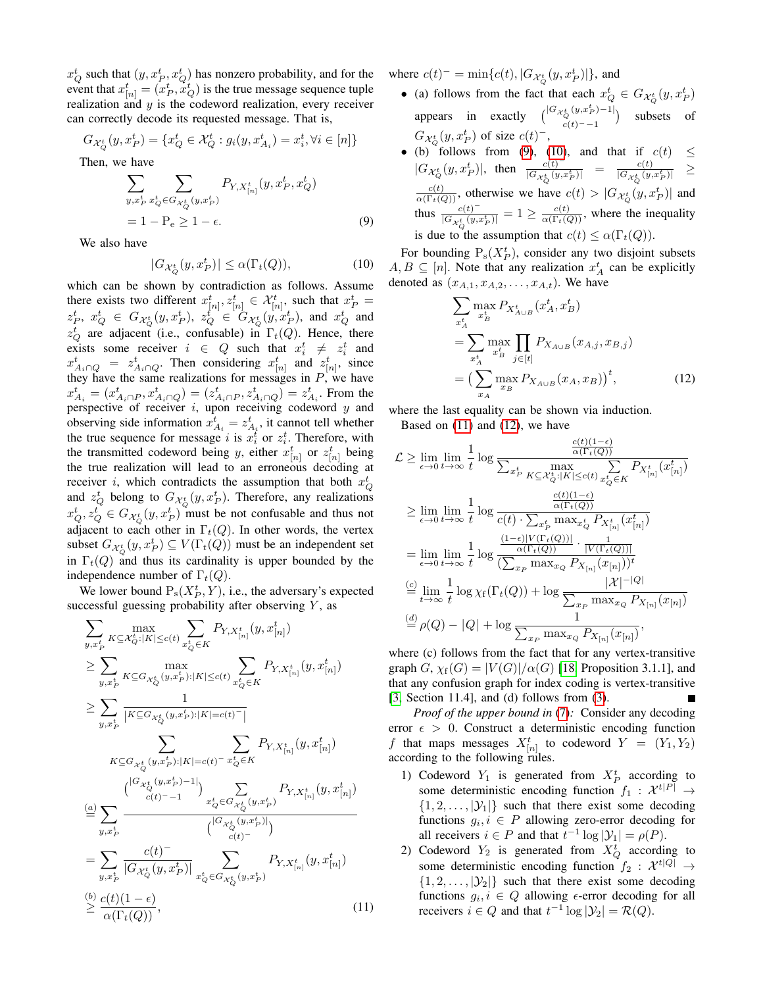$x_Q^t$  such that  $(y, x_P^t, x_Q^t)$  has nonzero probability, and for the event that  $x_{[n]}^t = (x_P^t, \dot{x}_Q^t)$  is the true message sequence tuple realization and  $y$  is the codeword realization, every receiver can correctly decode its requested message. That is,

$$
G_{\mathcal{X}_Q^t}(y, x_P^t) = \{ x_Q^t \in \mathcal{X}_Q^t : g_i(y, x_{A_i}^t) = x_i^t, \forall i \in [n] \}
$$

Then, we have

$$
\sum_{y,x_P^t} \sum_{x_Q^t \in G_{\mathcal{X}_Q^t}(y,x_P^t)} P_{Y,X_{[n]}^t}(y,x_P^t,x_Q^t)
$$
  
= 1 - P\_e \ge 1 - \epsilon. (9)

We also have

$$
|G_{\mathcal{X}_Q^t}(y, x_P^t)| \le \alpha(\Gamma_t(Q)),\tag{10}
$$

which can be shown by contradiction as follows. Assume there exists two different  $x_{[n]}^t, z_{[n]}^t \in \mathcal{X}_{[n]}^t$ , such that  $x_P^t =$  $z_P^t$ ,  $x_Q^t \in G_{\mathcal{X}_Q^t}(y, x_P^t), \ z_Q^t \in G_{\mathcal{X}_Q^t}(y, x_P^t), \ z_M^t$  and  $x_Q^t$  and  $z_Q^t$  are adjacent (i.e., confusable) in  $\Gamma_t(Q)$ . Hence, there exists some receiver  $i \in Q$  such that  $x_i^t \neq x_i^t$  and  $x_{A_i \cap Q}^t = z_{A_i \cap Q}^t$ . Then considering  $x_{[n]}^t$  and  $z_{[n]}^t$ , since they have the same realizations for messages in  $P$ , we have  $x_{A_i}^t = (x_{A_i \cap P}^t, x_{A_i \cap Q}^t) = (z_{A_i \cap P}^t, z_{A_i \cap Q}^t) = z_{A_i}^t$ . From the perspective of receiver  $i$ , upon receiving codeword  $y$  and observing side information  $x_{A_i}^t = z_{A_i}^t$ , it cannot tell whether the true sequence for message i is  $x_i^t$  or  $z_i^t$ . Therefore, with the transmitted codeword being y, either  $x_{[n]}^t$  or  $z_{[n]}^t$  being the true realization will lead to an erroneous decoding at receiver i, which contradicts the assumption that both  $x_Q^t$ and  $z_Q^t$  belong to  $G_{\mathcal{X}_Q^t}(y, x_P^t)$ . Therefore, any realizations  $x_Q^t, z_Q^t \in G_{\mathcal{X}_Q^t}(y, x_P^t)$  must be not confusable and thus not adjacent to each other in  $\Gamma_t(Q)$ . In other words, the vertex subset  $G_{\mathcal{X}_Q^t}(y, x_P^t) \subseteq V(\Gamma_t(Q))$  must be an independent set in  $\Gamma_t(Q)$  and thus its cardinality is upper bounded by the independence number of  $\Gamma_t(Q)$ .

We lower bound  $P_s(X_P^t, Y)$ , i.e., the adversary's expected successful guessing probability after observing  $Y$ , as

$$
\sum_{y,x_{P}^{t}} \max_{K \subseteq \mathcal{X}_{Q}^{t}:|K| \leq c(t)} \sum_{x_{Q}^{t} \in K} P_{Y,X_{[n]}^{t}}(y, x_{[n]}^{t})
$$
\n
$$
\geq \sum_{y,x_{P}^{t}} \max_{K \subseteq G_{\mathcal{X}_{Q}^{t}}(y,x_{P}^{t}):|K| \leq c(t)} \sum_{x_{Q}^{t} \in K} P_{Y,X_{[n]}^{t}}(y,x_{[n]}^{t})
$$
\n
$$
\geq \sum_{y,x_{P}^{t}} \frac{1}{|K \subseteq G_{\mathcal{X}_{Q}^{t}}(y,x_{P}^{t}):|K| = c(t)} - \frac{1}{|K \subseteq G_{\mathcal{X}_{Q}^{t}}(y,x_{P}^{t}):|K| = c(t)} - \frac{1}{|K \subseteq G_{\mathcal{X}_{Q}^{t}}(y,x_{P}^{t})|} \sum_{\substack{c(t) = -1}} \sum_{x_{Q}^{t} \in G_{\mathcal{X}_{Q}^{t}}(y,x_{P}^{t})} P_{Y,X_{[n]}^{t}}(y,x_{[n]}^{t})
$$
\n
$$
\stackrel{(a)}{=} \sum_{y,x_{P}^{t}} \frac{1}{|G_{\mathcal{X}_{Q}^{t}}(y,x_{P}^{t})|} \sum_{\substack{c(t) = -1}} \sum_{\substack{x_{Q}^{t} \in G_{\mathcal{X}_{Q}^{t}}(y,x_{P}^{t})}} P_{Y,X_{[n]}^{t}}(y,x_{[n]}^{t})
$$
\n
$$
= \sum_{y,x_{P}^{t}} \frac{c(t)^{-1}}{|G_{\mathcal{X}_{Q}^{t}}(y,x_{P}^{t})|} \sum_{x_{Q}^{t} \in G_{\mathcal{X}_{Q}^{t}}(y,x_{P}^{t})} P_{Y,X_{[n]}^{t}}(y,x_{[n]}^{t})
$$
\n
$$
\stackrel{(b)}{=} \frac{c(t)(1 - \epsilon)}{\alpha(\Gamma_{t}(Q))}, \qquad (11)
$$

where  $c(t)^{-} = \min\{c(t), |G_{\mathcal{X}_{Q}^{t}}(y, x_{P}^{t})|\}$ , and

- (a) follows from the fact that each  $x_Q^t \in G_{\mathcal{X}_Q^t}(y, x_P^t)$ appears in exactly  $\begin{pmatrix} |G_{\mathcal{X}_{Q}^{t}}(y,x_{P}^{t})-1| \\ 0 & 0 \end{pmatrix}$  $\begin{array}{ll}\n\binom{t}{Q} \binom{(y,x_P)-1}{-1} & \text{subsets} \quad \text{of} \\
\binom{t}{t} & -1 & \end{array}$  $G_{\mathcal{X}_{\scriptscriptstyle O}^t}(y,x_P^t)$  of size  $c(t)^-,$
- (b) follows from [\(9\)](#page-3-0), [\(10\)](#page-3-1), and that if  $c(t) \le$  $|G_{\mathcal{X}_{Q}^{t}}(y,x_{P}^{t})|,$  then  $\frac{c(t)^{-1}}{|G_{\mathcal{X}_{Q}^{t}}(y,x_{P}^{t})|}$  $\frac{c(t)^{-}}{|G_{\mathcal{X}_{Q}^{t}}(y,x_{P}^{t})|}$  =  $\frac{c(t)}{|G_{\mathcal{X}_{Q}^{t}}(y,x_{Q}^{t})|}$  $\frac{|\overrightarrow{G}_{\mathcal{X}_{Q}^{t}}(y,x_{P}^{t})|}{|\overrightarrow{G}_{\mathcal{X}_{Q}^{t}}(y,x_{P}^{t})|} \geq$  $\frac{c(t)}{\alpha(\Gamma_t(Q))}$ , otherwise we have  $c(t) > |G_{\mathcal{X}_Q^t}(y, x_P^t)|$  and thus  $\frac{c(t)^{-1}}{|G(t)|}$  $\frac{c(t)^{-1}}{|\overline{G_{\mathcal{X}_{Q}^{t}}(y,x_{P}^{t})|}} = 1 \ge \frac{c(t)}{\alpha(\Gamma_{t}(Q))}$ , where the inequality is due to the assumption that  $c(t) \leq \alpha(\Gamma_t(Q))$ .

<span id="page-3-1"></span><span id="page-3-0"></span>For bounding  $P_s(X_P^t)$ , consider any two disjoint subsets  $A, B \subseteq [n]$ . Note that any realization  $x_A^t$  can be explicitly denoted as  $(x_{A,1}, x_{A,2}, \ldots, x_{A,t})$ . We have

<span id="page-3-3"></span>
$$
\sum_{x_A^t} \max_{x_B^t} P_{X_{A\cup B}^t}(x_A^t, x_B^t)
$$
\n
$$
= \sum_{x_A^t} \max_{x_B^t} \prod_{j \in [t]} P_{X_{A\cup B}}(x_{A,j}, x_{B,j})
$$
\n
$$
= \left(\sum_{x_A} \max_{x_B} P_{X_{A\cup B}}(x_A, x_B)\right)^t, \tag{12}
$$

where the last equality can be shown via induction. Based on [\(11\)](#page-3-2) and [\(12\)](#page-3-3), we have

$$
\mathcal{L} \geq \lim_{\epsilon \to 0} \lim_{t \to \infty} \frac{1}{t} \log \frac{\frac{c(t)(1-\epsilon)}{\alpha(\Gamma_t(Q))}}{\sum_{x_P^t} \max_{K \subseteq \mathcal{X}_Q^t : |K| \leq c(t)} \sum_{x_Q^t \in K} P_{X_{[n]}^t}(x_{[n]}^t)}
$$
\n
$$
\geq \lim_{\epsilon \to 0} \lim_{t \to \infty} \frac{1}{t} \log \frac{\frac{c(t)(1-\epsilon)}{\alpha(\Gamma_t(Q))}}{c(t) \cdot \sum_{x_P^t} \max_{x_Q^t} P_{X_{[n]}^t}(x_{[n]}^t)}
$$
\n
$$
= \lim_{\epsilon \to 0} \lim_{t \to \infty} \frac{1}{t} \log \frac{\frac{(1-\epsilon)|V(\Gamma_t(Q))|}{\alpha(\Gamma_t(Q))} \cdot \frac{V(\Gamma_t(Q))|}{|V(\Gamma_t(Q))|}}{\sum_{x_P} \max_{x_Q} P_{X_{[n]}}(x_{[n]}))^t}
$$
\n
$$
\stackrel{(c)}{=} \lim_{t \to \infty} \frac{1}{t} \log \chi_f(\Gamma_t(Q)) + \log \frac{|\mathcal{X}|^{-|Q|}}{\sum_{x_P} \max_{x_Q} P_{X_{[n]}}(x_{[n]})},
$$
\n
$$
\stackrel{(d)}{=} \rho(Q) - |Q| + \log \frac{1}{\sum_{x_P} \max_{x_Q} P_{X_{[n]}}(x_{[n]})},
$$

where (c) follows from the fact that for any vertex-transitive graph  $G$ ,  $\chi_f(G) = |V(G)|/\alpha(G)$  [\[18,](#page-5-14) Proposition 3.1.1], and that any confusion graph for index coding is vertex-transitive [\[3,](#page-5-2) Section 11.4], and (d) follows from [\(3\)](#page-2-4).

*Proof of the upper bound in* [\(7\)](#page-2-2)*:* Consider any decoding error  $\epsilon > 0$ . Construct a deterministic encoding function f that maps messages  $X^t_{[n]}$  to codeword  $Y = (Y_1, Y_2)$ according to the following rules.

- 1) Codeword  $Y_1$  is generated from  $X_P^t$  according to some deterministic encoding function  $f_1 : \mathcal{X}^{t|P|} \rightarrow$  $\{1, 2, \ldots, |\mathcal{Y}_1|\}$  such that there exist some decoding functions  $g_i, i \in P$  allowing zero-error decoding for all receivers  $i \in P$  and that  $t^{-1} \log |\mathcal{Y}_1| = \rho(P)$ .
- <span id="page-3-2"></span>2) Codeword  $Y_2$  is generated from  $X_Q^t$  according to some deterministic encoding function  $f_2: \mathcal{X}^{t|Q|} \rightarrow$  $\{1, 2, \ldots, |\mathcal{Y}_2|\}$  such that there exist some decoding functions  $g_i, i \in Q$  allowing  $\epsilon$ -error decoding for all receivers  $i \in Q$  and that  $t^{-1} \log |\mathcal{Y}_2| = \mathcal{R}(Q)$ .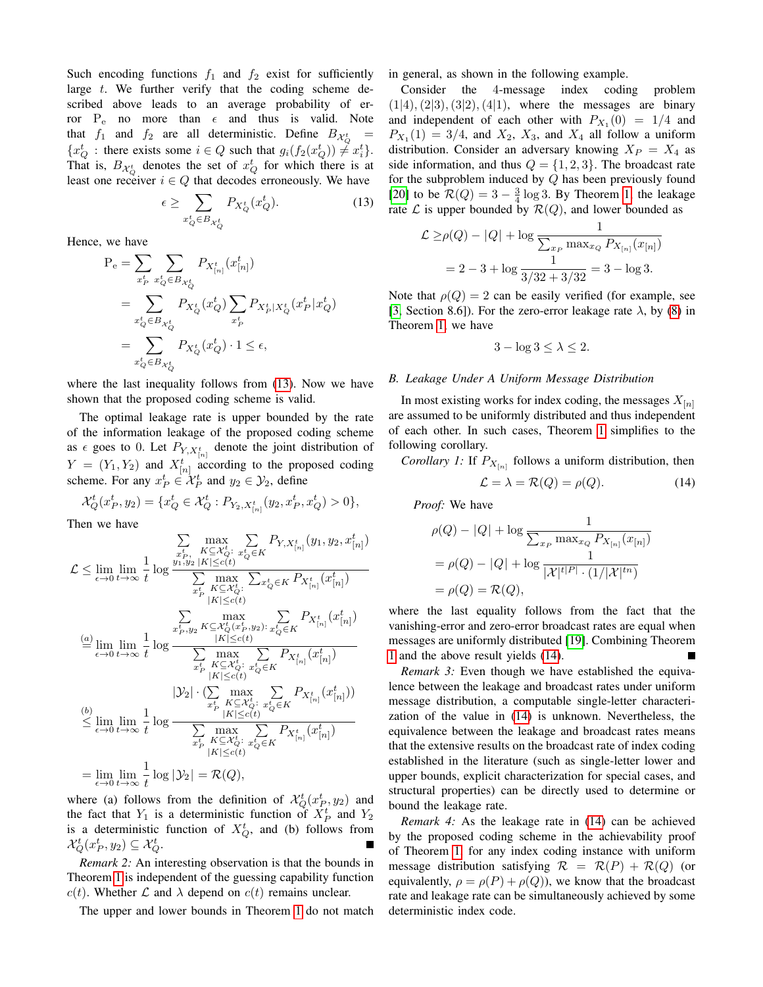Such encoding functions  $f_1$  and  $f_2$  exist for sufficiently large  $t$ . We further verify that the coding scheme described above leads to an average probability of error  $P_e$  no more than  $\epsilon$  and thus is valid. Note that  $f_1$  and  $f_2$  are all deterministic. Define  $B_{\mathcal{X}_{Q}^t}$  =  ${x_Q^t : \text{there exists some } i \in Q \text{ such that } g_i(f_2(x_Q^t)) \neq x_i^t}.$ That is,  $B_{\mathcal{X}_{Q}^{t}}$  denotes the set of  $x_{Q}^{t}$  for which there is at least one receiver  $i \in Q$  that decodes erroneously. We have

$$
\epsilon \ge \sum_{x_Q^t \in B_{\mathcal{X}_Q^t}} P_{X_Q^t}(x_Q^t). \tag{13}
$$

Hence, we have

$$
P_e = \sum_{x_P^t} \sum_{x_Q^t \in B_{X_Q^t}} P_{X_{[n]}^t}(x_{[n]}^t)
$$
  
= 
$$
\sum_{x_Q^t \in B_{X_Q^t}} P_{X_Q^t}(x_Q^t) \sum_{x_P^t} P_{X_P^t | X_Q^t}(x_P^t | x_Q^t)
$$
  
= 
$$
\sum_{x_Q^t \in B_{X_Q^t}} P_{X_Q^t}(x_Q^t) \cdot 1 \le \epsilon,
$$

where the last inequality follows from [\(13\)](#page-4-0). Now we have shown that the proposed coding scheme is valid.

The optimal leakage rate is upper bounded by the rate of the information leakage of the proposed coding scheme as  $\epsilon$  goes to 0. Let  $P_{Y,X_{[n]}^t}$  denote the joint distribution of  $Y = (Y_1, Y_2)$  and  $X_{[n]}^t$  according to the proposed coding scheme. For any  $x_P^t \in \mathcal{X}_P^t$  and  $y_2 \in \mathcal{Y}_2$ , define

$$
\mathcal{X}_Q^t(x_P^t, y_2) = \{ x_Q^t \in \mathcal{X}_Q^t : P_{Y_2, X_{[n]}^t}(y_2, x_P^t, x_Q^t) > 0 \},\
$$

Then we have

$$
\mathcal{L} \leq \lim_{\epsilon \to 0} \lim_{t \to \infty} \frac{1}{t} \log \frac{\sum\limits_{\substack{x_{r}^{t}, \\ y_{1},y_{2} \mid K \mid \leq c(t)}}^{\text{max}} \sum\limits_{\substack{x_{r}^{t} \mid K \subseteq \mathcal{X}_{Q}^{t}: \\ \text{max}}^{\text{max}} \sum\limits_{\substack{x_{r}^{t} \mid K \subseteq \mathcal{X}_{Q}^{t}: \\ \text{max}}^{\text{max}}} \sum\limits_{\substack{x_{r}^{t} \mid K \subseteq \mathcal{X}_{Q}^{t}: \\ \text{max}^{\text{max}}^{\text{max}}}} \sum\limits_{\substack{x_{r}^{t} \mid K \subseteq \mathcal{X}_{Q}^{t}: \\ \text{max}^{\text{max}}^{\text{max}} \mid K \subseteq \mathcal{X}_{Q}^{t}: \\ \text{max}^{\text{max}}^{\text{max}} \sum\limits_{\substack{x_{r}^{t} \mid K \subseteq \mathcal{X}_{Q}^{t}: \\ \text{max}^{\text{max}}^{\text{max}}} \sum\limits_{\substack{x_{r}^{t} \mid K \subseteq \mathcal{X}_{Q}^{t}: \\ \text{max}^{\text{max}}^{\text{max}} \mid K \subseteq \mathcal{X}_{Q}^{t}: \\ \text{max}^{\text{max}}^{\text{max}} \sum\limits_{\substack{x_{r}^{t} \mid K \subseteq \mathcal{X}_{Q}^{t}: \\ \text{max}^{\text{max}}^{\text{max}} \mid K \subseteq \mathcal{X}_{Q}^{t}: \\ \text{min}^{\text{max}}^{\text{max}} \sum\limits_{\substack{x_{r}^{t} \mid K \subseteq \mathcal{X}_{Q}^{t}: \\ \text{max}^{\text{max}}^{\text{max}} \mid K \subseteq \mathcal{X}_{Q}^{t}: \\ \text{max}^{\text{max}}^{\text{max}} \sum\limits_{\substack{x_{r}^{t} \mid K \subseteq \mathcal{X}_{Q}^{t}: \\ \text{max}^{\text{max}}^{\text{max}} \mid K \subseteq \mathcal{X}_{Q}^{t}: \\ \text{max}^{\text{max}}^{\text{max}} \mid K \subseteq \mathcal{X}_{Q}^{t}: \\ \text{max}^{\text{max}}^{\text{max}}^{\text{max}} \sum\limits_{\substack{x_{r}^{t} \mid K \mid K \mid K \mid K \mid K \mid K \mid}} \sum\
$$

where (a) follows from the definition of  $\mathcal{X}_Q^t(x_P^t, y_2)$  and the fact that  $Y_1$  is a deterministic function of  $X_P^t$  and  $Y_2$ is a deterministic function of  $X_Q^t$ , and (b) follows from  $\mathcal{X}_Q^t(x_P^t, y_2) \subseteq \mathcal{X}_Q^t.$ 

*Remark 2:* An interesting observation is that the bounds in Theorem [1](#page-2-5) is independent of the guessing capability function  $c(t)$ . Whether  $\mathcal L$  and  $\lambda$  depend on  $c(t)$  remains unclear.

The upper and lower bounds in Theorem [1](#page-2-5) do not match

in general, as shown in the following example.

Consider the 4-message index coding problem  $(1|4), (2|3), (3|2), (4|1),$  where the messages are binary and independent of each other with  $P_{X_1}(0) = 1/4$  and  $P_{X_1}(1) = 3/4$ , and  $X_2$ ,  $X_3$ , and  $X_4$  all follow a uniform distribution. Consider an adversary knowing  $X_P = X_4$  as side information, and thus  $Q = \{1, 2, 3\}$ . The broadcast rate for the subproblem induced by  $Q$  has been previously found [\[20\]](#page-5-16) to be  $\mathcal{R}(Q) = 3 - \frac{3}{4} \log 3$ . By Theorem [1,](#page-2-5) the leakage rate  $\mathcal L$  is upper bounded by  $\mathcal R(Q)$ , and lower bounded as

<span id="page-4-0"></span>
$$
\mathcal{L} \ge \rho(Q) - |Q| + \log \frac{1}{\sum_{x_P} \max_{x_Q} P_{X_{[n]}}(x_{[n]})}
$$
  
= 2 - 3 + log  $\frac{1}{3/32 + 3/32}$  = 3 - log 3.

Note that  $\rho(Q) = 2$  can be easily verified (for example, see [\[3,](#page-5-2) Section 8.6]). For the zero-error leakage rate  $\lambda$ , by [\(8\)](#page-2-3) in Theorem [1,](#page-2-5) we have

$$
3 - \log 3 \le \lambda \le 2.
$$

#### *B. Leakage Under A Uniform Message Distribution*

In most existing works for index coding, the messages  $X_{[n]}$ are assumed to be uniformly distributed and thus independent of each other. In such cases, Theorem [1](#page-2-5) simplifies to the following corollary.

*Corollary 1:* If  $P_{X_{[n]}}$  follows a uniform distribution, then

<span id="page-4-1"></span>
$$
\mathcal{L} = \lambda = \mathcal{R}(Q) = \rho(Q). \tag{14}
$$

*Proof:* We have

$$
\rho(Q) - |Q| + \log \frac{1}{\sum_{x_P} \max_{x_Q} P_{X_{[n]}}(x_{[n]})}
$$
  
=  $\rho(Q) - |Q| + \log \frac{1}{|\mathcal{X}|^{t|P|} \cdot (1/|\mathcal{X}|^{tn})}$   
=  $\rho(Q) = \mathcal{R}(Q),$ 

where the last equality follows from the fact that the vanishing-error and zero-error broadcast rates are equal when messages are uniformly distributed [\[19\]](#page-5-15). Combining Theorem [1](#page-2-5) and the above result yields [\(14\)](#page-4-1).  $\blacksquare$ 

*Remark 3:* Even though we have established the equivalence between the leakage and broadcast rates under uniform message distribution, a computable single-letter characterization of the value in [\(14\)](#page-4-1) is unknown. Nevertheless, the equivalence between the leakage and broadcast rates means that the extensive results on the broadcast rate of index coding established in the literature (such as single-letter lower and upper bounds, explicit characterization for special cases, and structural properties) can be directly used to determine or bound the leakage rate.

*Remark 4:* As the leakage rate in [\(14\)](#page-4-1) can be achieved by the proposed coding scheme in the achievability proof of Theorem [1,](#page-2-5) for any index coding instance with uniform message distribution satisfying  $\mathcal{R} = \mathcal{R}(P) + \mathcal{R}(Q)$  (or equivalently,  $\rho = \rho(P) + \rho(Q)$ , we know that the broadcast rate and leakage rate can be simultaneously achieved by some deterministic index code.